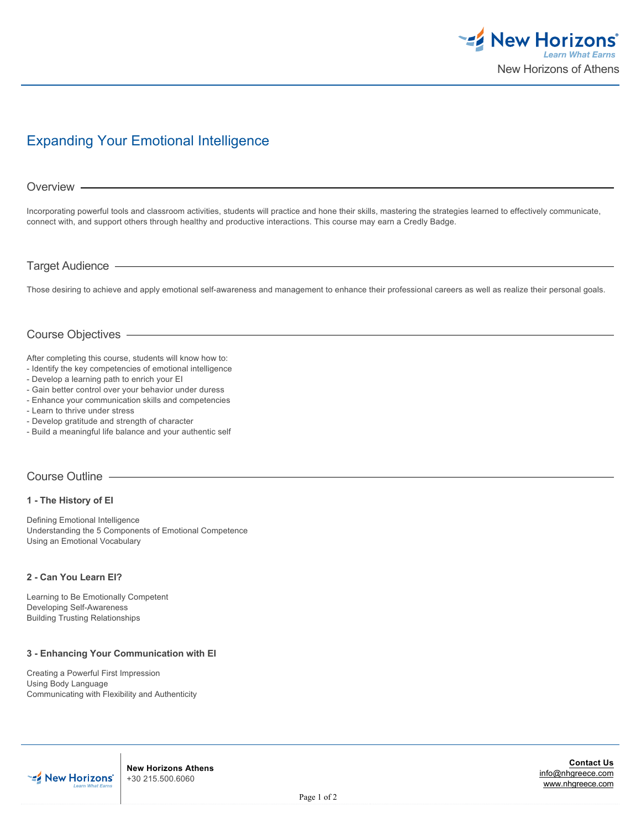

# Expanding Your Emotional Intelligence

## Overview -

Incorporating powerful tools and classroom activities, students will practice and hone their skills, mastering the strategies learned to effectively communicate, connect with, and support others through healthy and productive interactions. This course may earn a Credly Badge.

## Target Audience

Those desiring to achieve and apply emotional self-awareness and management to enhance their professional careers as well as realize their personal goals.

## Course Objectives

After completing this course, students will know how to:

- Identify the key competencies of emotional intelligence
- Develop a learning path to enrich your EI
- Gain better control over your behavior under duress
- Enhance your communication skills and competencies
- Learn to thrive under stress
- Develop gratitude and strength of character
- Build a meaningful life balance and your authentic self

## Course Outline

## **1 - The History of EI**

Defining Emotional Intelligence Understanding the 5 Components of Emotional Competence Using an Emotional Vocabulary

#### **2 - Can You Learn EI?**

Learning to Be Emotionally Competent Developing Self-Awareness Building Trusting Relationships

## **3 - Enhancing Your Communication with EI**

Creating a Powerful First Impression Using Body Language Communicating with Flexibility and Authenticity



**New Horizons Athens** +30 215.500.6060